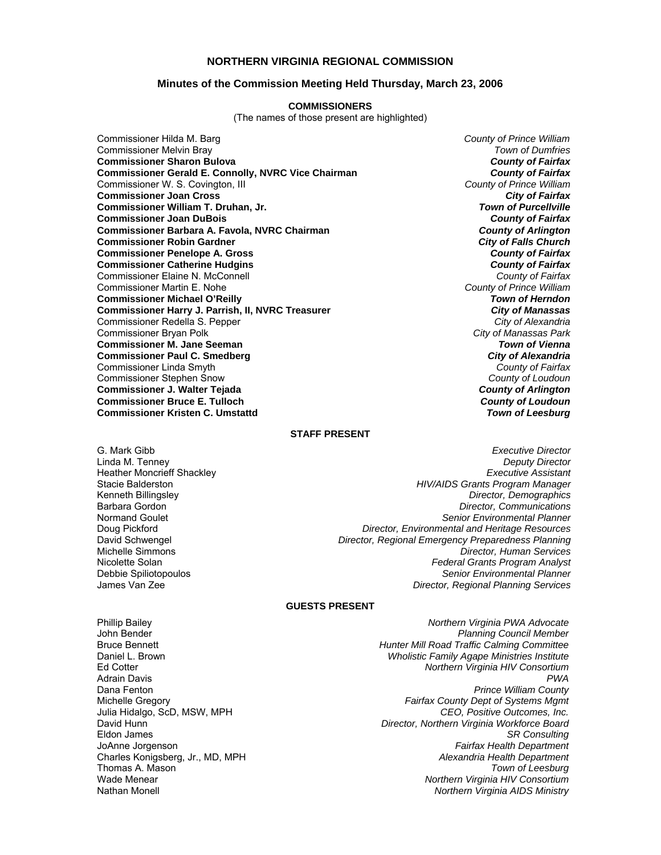#### **NORTHERN VIRGINIA REGIONAL COMMISSION**

#### **Minutes of the Commission Meeting Held Thursday, March 23, 2006**

#### **COMMISSIONERS**

(The names of those present are highlighted)

Commissioner Hilda M. Barg *County of Prince William* Commissioner Melvin Bray *Town of Dumfries* **Commissioner Sharon Bulova** *County of Fairfax* **Commissioner Gerald E. Connolly, NVRC Vice Chairman** *County of Fairfax**County of Fairfax**Commissioner W. S. Covington, III* Commissioner W. S. Covington, III *County of Prince William* **Commissioner Joan Cross** *City of Fairfax* **Commissioner William T. Druhan, Jr.** *Town of Purcellville* **Commissioner Joan DuBois** *County of Fairfax* **Commissioner Barbara A. Favola, NVRC Chairman** *County of Arlington* **Commissioner Robin Gardner** *City of Falls Church* **Commissioner Penelope A. Gross** *County of Fairfax* **Commissioner Catherine Hudgins** *County of Fairfax* Commissioner Elaine N. McConnell *County of Fairfax* Commissioner Martin E. Nohe *County of Prince William* **Commissioner Michael O'Reilly Commissioner Harry J. Parrish, II, NVRC Treasurer** *City of Manassas* Commissioner Redella S. Pepper *City of Alexandria* Commissioner Bryan Polk *City of Manassas Park* **Commissioner M. Jane Seeman** *Town of Vienna* **Commissioner Paul C. Smedberg** *City of Alexandria***<br>
Commissioner Linda Smyth** *County of Fairfax* Commissioner Linda Smyth *County of Fairfax* Commissioner Stephen Snow *County of Loudoun* **Commissioner J. Walter Tejada** *County of Arlington* **Commissioner Bruce E. Tulloch** *County of Loudoun* **Commissioner Kristen C. Umstattd** *Town of Leesburg*

#### **STAFF PRESENT**

G. Mark Gibb *Executive Director* Linda M. Tenney *Deputy Director* Heather Moncrieff Shackley *Executive Assistant* Stacie Balderston *HIV/AIDS Grants Program Manager* Kenneth Billingsley *Director, Demographics* Barbara Gordon *Director, Communications* Senior *Environmental Planner* Doug Pickford *Director, Environmental and Heritage Resources* David Schwengel *Director, Regional Emergency Preparedness Planning* Michelle Simmons *Director, Human Services* Nicolette Solan *Federal Grants Program Analyst* Debbie Spiliotopoulos *Senior Environmental Planner* James Van Zee *Director, Regional Planning Services*

#### **GUESTS PRESENT**

Julia Hidalgo, ScD, MSW, MPH Thomas A. Mason<sup>7</sup><br>Wade Menear

Phillip Bailey *Northern Virginia PWA Advocate* John Bender *Planning Council Member* Bruce Bennett *Hunter Mill Road Traffic Calming Committee* Daniel L. Brown *Wholistic Family Agape Ministries Institute* Ed Cotter *Northern Virginia HIV Consortium* Adrain Davis *PWA* Dana Fenton *Prince William County* Michelle Gregory *Fairfax County Dept of Systems Mgmt* David Hunn *Director, Northern Virginia Workforce Board* Eldon James *SR Consulting* JoAnne Jorgenson *Fairfax Health Department* Charles Konigsberg, Jr., MD, MPH *Alexandria Health Department* Wade Menear *Northern Virginia HIV Consortium* Nathan Monell *Northern Virginia AIDS Ministry*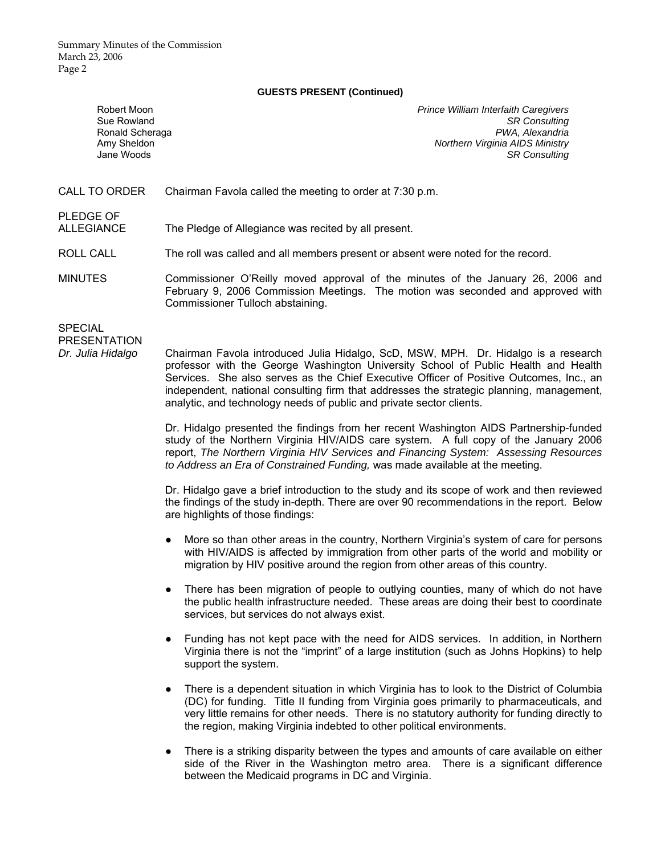Summary Minutes of the Commission March 23, 2006 Page 2

#### **GUESTS PRESENT (Continued)**

| Robert Moon<br>Sue Rowland<br>Ronald Scheraga<br>Amy Sheldon<br>Jane Woods | <b>Prince William Interfaith Caregivers</b><br><b>SR Consulting</b><br>PWA, Alexandria<br>Northern Virginia AIDS Ministry<br><b>SR Consulting</b> |
|----------------------------------------------------------------------------|---------------------------------------------------------------------------------------------------------------------------------------------------|
| CALL TO ORDER                                                              | Chairman Favola called the meeting to order at 7:30 p.m.                                                                                          |
| <b>PLEDGE OF</b><br><b>ALLEGIANCE</b>                                      | The Pledge of Allegiance was recited by all present.                                                                                              |
| ROLL CALL                                                                  | The roll was called and all members present or absent were noted for the record.                                                                  |
| <b>MINUTES</b>                                                             | Commissioner O'Reilly moved approval of the minutes of the January 26, 2006 and                                                                   |

February 9, 2006 Commission Meetings. The motion was seconded and approved with Commissioner Tulloch abstaining.

**SPECIAL** 

PRESENTATION

*Dr. Julia Hidalgo* Chairman Favola introduced Julia Hidalgo, ScD, MSW, MPH. Dr. Hidalgo is a research professor with the George Washington University School of Public Health and Health Services. She also serves as the Chief Executive Officer of Positive Outcomes, Inc., an independent, national consulting firm that addresses the strategic planning, management, analytic, and technology needs of public and private sector clients.

> Dr. Hidalgo presented the findings from her recent Washington AIDS Partnership-funded study of the Northern Virginia HIV/AIDS care system. A full copy of the January 2006 report, *The Northern Virginia HIV Services and Financing System: Assessing Resources to Address an Era of Constrained Funding,* was made available at the meeting.

> Dr. Hidalgo gave a brief introduction to the study and its scope of work and then reviewed the findings of the study in-depth. There are over 90 recommendations in the report. Below are highlights of those findings:

- More so than other areas in the country, Northern Virginia's system of care for persons with HIV/AIDS is affected by immigration from other parts of the world and mobility or migration by HIV positive around the region from other areas of this country.
- There has been migration of people to outlying counties, many of which do not have the public health infrastructure needed. These areas are doing their best to coordinate services, but services do not always exist.
- Funding has not kept pace with the need for AIDS services. In addition, in Northern Virginia there is not the "imprint" of a large institution (such as Johns Hopkins) to help support the system.
- There is a dependent situation in which Virginia has to look to the District of Columbia (DC) for funding. Title II funding from Virginia goes primarily to pharmaceuticals, and very little remains for other needs. There is no statutory authority for funding directly to the region, making Virginia indebted to other political environments.
- There is a striking disparity between the types and amounts of care available on either side of the River in the Washington metro area. There is a significant difference between the Medicaid programs in DC and Virginia.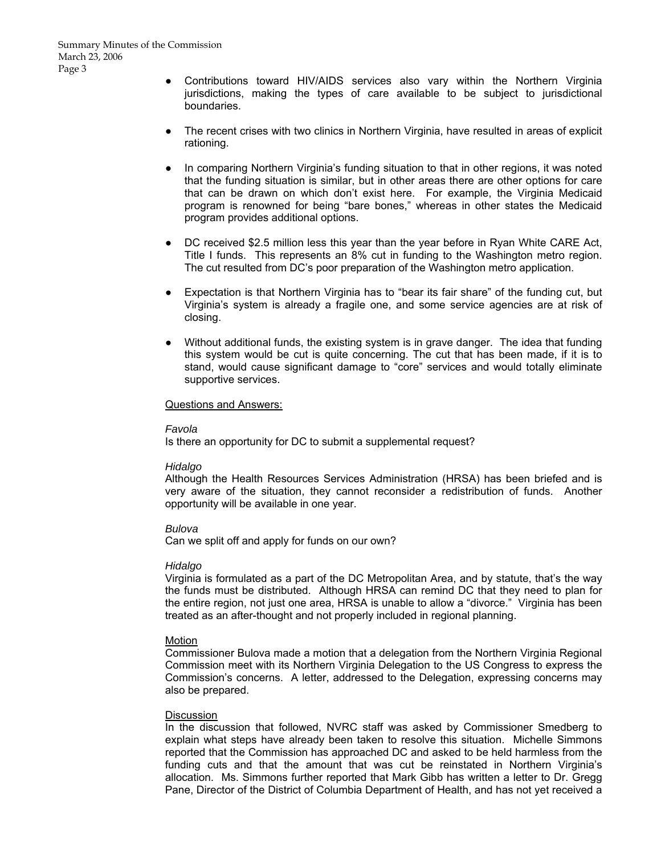- Contributions toward HIV/AIDS services also vary within the Northern Virginia jurisdictions, making the types of care available to be subject to jurisdictional boundaries.
- The recent crises with two clinics in Northern Virginia, have resulted in areas of explicit rationing.
- In comparing Northern Virginia's funding situation to that in other regions, it was noted that the funding situation is similar, but in other areas there are other options for care that can be drawn on which don't exist here. For example, the Virginia Medicaid program is renowned for being "bare bones," whereas in other states the Medicaid program provides additional options.
- DC received \$2.5 million less this year than the year before in Ryan White CARE Act, Title I funds. This represents an 8% cut in funding to the Washington metro region. The cut resulted from DC's poor preparation of the Washington metro application.
- Expectation is that Northern Virginia has to "bear its fair share" of the funding cut, but Virginia's system is already a fragile one, and some service agencies are at risk of closing.
- Without additional funds, the existing system is in grave danger. The idea that funding this system would be cut is quite concerning. The cut that has been made, if it is to stand, would cause significant damage to "core" services and would totally eliminate supportive services.

#### Questions and Answers:

#### *Favola*

Is there an opportunity for DC to submit a supplemental request?

#### *Hidalgo*

Although the Health Resources Services Administration (HRSA) has been briefed and is very aware of the situation, they cannot reconsider a redistribution of funds. Another opportunity will be available in one year.

#### *Bulova*

Can we split off and apply for funds on our own?

#### *Hidalgo*

Virginia is formulated as a part of the DC Metropolitan Area, and by statute, that's the way the funds must be distributed. Although HRSA can remind DC that they need to plan for the entire region, not just one area, HRSA is unable to allow a "divorce." Virginia has been treated as an after-thought and not properly included in regional planning.

#### Motion

Commissioner Bulova made a motion that a delegation from the Northern Virginia Regional Commission meet with its Northern Virginia Delegation to the US Congress to express the Commission's concerns. A letter, addressed to the Delegation, expressing concerns may also be prepared.

#### **Discussion**

In the discussion that followed, NVRC staff was asked by Commissioner Smedberg to explain what steps have already been taken to resolve this situation. Michelle Simmons reported that the Commission has approached DC and asked to be held harmless from the funding cuts and that the amount that was cut be reinstated in Northern Virginia's allocation. Ms. Simmons further reported that Mark Gibb has written a letter to Dr. Gregg Pane, Director of the District of Columbia Department of Health, and has not yet received a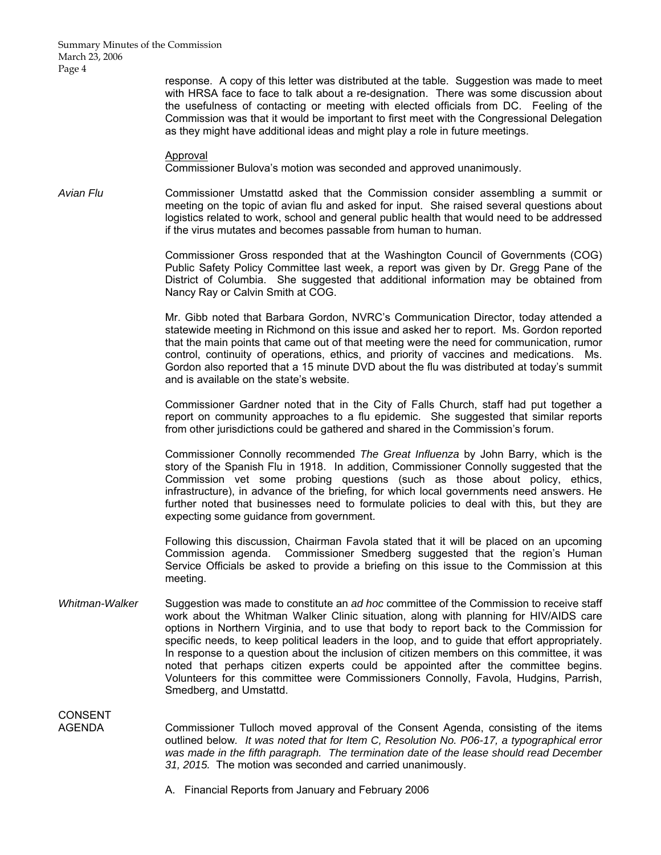Summary Minutes of the Commission March 23, 2006 Page 4

> response. A copy of this letter was distributed at the table. Suggestion was made to meet with HRSA face to face to talk about a re-designation. There was some discussion about the usefulness of contacting or meeting with elected officials from DC. Feeling of the Commission was that it would be important to first meet with the Congressional Delegation as they might have additional ideas and might play a role in future meetings.

Approval

Commissioner Bulova's motion was seconded and approved unanimously.

*Avian Flu* Commissioner Umstattd asked that the Commission consider assembling a summit or meeting on the topic of avian flu and asked for input. She raised several questions about logistics related to work, school and general public health that would need to be addressed if the virus mutates and becomes passable from human to human.

> Commissioner Gross responded that at the Washington Council of Governments (COG) Public Safety Policy Committee last week, a report was given by Dr. Gregg Pane of the District of Columbia. She suggested that additional information may be obtained from Nancy Ray or Calvin Smith at COG.

> Mr. Gibb noted that Barbara Gordon, NVRC's Communication Director, today attended a statewide meeting in Richmond on this issue and asked her to report. Ms. Gordon reported that the main points that came out of that meeting were the need for communication, rumor control, continuity of operations, ethics, and priority of vaccines and medications. Ms. Gordon also reported that a 15 minute DVD about the flu was distributed at today's summit and is available on the state's website.

> Commissioner Gardner noted that in the City of Falls Church, staff had put together a report on community approaches to a flu epidemic. She suggested that similar reports from other jurisdictions could be gathered and shared in the Commission's forum.

> Commissioner Connolly recommended *The Great Influenza* by John Barry, which is the story of the Spanish Flu in 1918. In addition, Commissioner Connolly suggested that the Commission vet some probing questions (such as those about policy, ethics, infrastructure), in advance of the briefing, for which local governments need answers. He further noted that businesses need to formulate policies to deal with this, but they are expecting some guidance from government.

> Following this discussion, Chairman Favola stated that it will be placed on an upcoming Commission agenda. Commissioner Smedberg suggested that the region's Human Service Officials be asked to provide a briefing on this issue to the Commission at this meeting.

*Whitman-Walker* Suggestion was made to constitute an *ad hoc* committee of the Commission to receive staff work about the Whitman Walker Clinic situation, along with planning for HIV/AIDS care options in Northern Virginia, and to use that body to report back to the Commission for specific needs, to keep political leaders in the loop, and to guide that effort appropriately. In response to a question about the inclusion of citizen members on this committee, it was noted that perhaps citizen experts could be appointed after the committee begins. Volunteers for this committee were Commissioners Connolly, Favola, Hudgins, Parrish, Smedberg, and Umstattd.

**CONSENT** 

AGENDA Commissioner Tulloch moved approval of the Consent Agenda, consisting of the items outlined below*. It was noted that for Item C, Resolution No. P06-17, a typographical error*  was made in the fifth paragraph. The termination date of the lease should read December *31, 2015.* The motion was seconded and carried unanimously.

A. Financial Reports from January and February 2006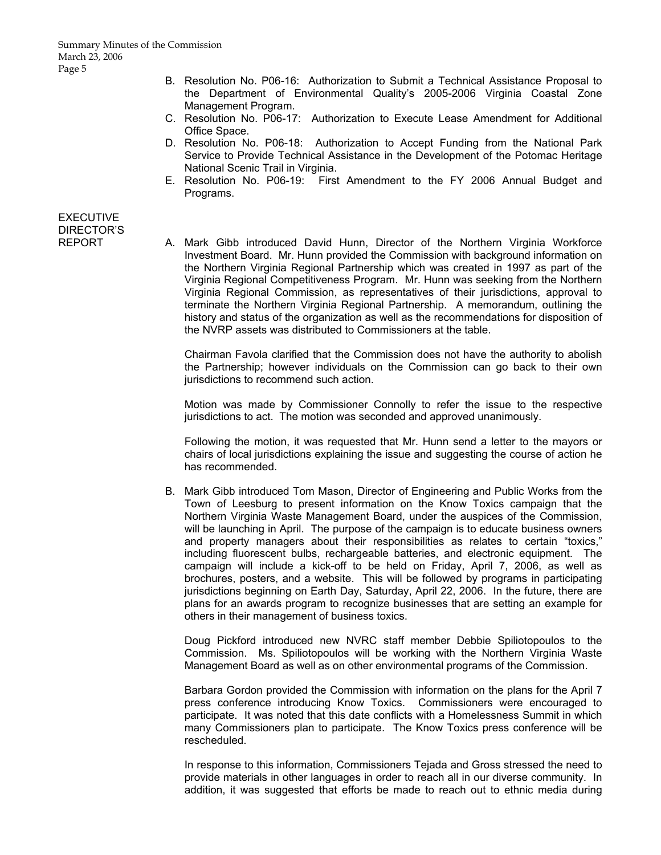- B. Resolution No. P06-16: Authorization to Submit a Technical Assistance Proposal to the Department of Environmental Quality's 2005-2006 Virginia Coastal Zone Management Program.
- C. Resolution No. P06-17: Authorization to Execute Lease Amendment for Additional Office Space.
- D. Resolution No. P06-18: Authorization to Accept Funding from the National Park Service to Provide Technical Assistance in the Development of the Potomac Heritage National Scenic Trail in Virginia.
- E. Resolution No. P06-19: First Amendment to the FY 2006 Annual Budget and Programs.

## **EXECUTIVE** DIRECTOR'S

REPORT A. Mark Gibb introduced David Hunn, Director of the Northern Virginia Workforce Investment Board. Mr. Hunn provided the Commission with background information on the Northern Virginia Regional Partnership which was created in 1997 as part of the Virginia Regional Competitiveness Program. Mr. Hunn was seeking from the Northern Virginia Regional Commission, as representatives of their jurisdictions, approval to terminate the Northern Virginia Regional Partnership. A memorandum, outlining the history and status of the organization as well as the recommendations for disposition of the NVRP assets was distributed to Commissioners at the table.

> Chairman Favola clarified that the Commission does not have the authority to abolish the Partnership; however individuals on the Commission can go back to their own jurisdictions to recommend such action.

> Motion was made by Commissioner Connolly to refer the issue to the respective jurisdictions to act. The motion was seconded and approved unanimously.

> Following the motion, it was requested that Mr. Hunn send a letter to the mayors or chairs of local jurisdictions explaining the issue and suggesting the course of action he has recommended.

B. Mark Gibb introduced Tom Mason, Director of Engineering and Public Works from the Town of Leesburg to present information on the Know Toxics campaign that the Northern Virginia Waste Management Board, under the auspices of the Commission, will be launching in April. The purpose of the campaign is to educate business owners and property managers about their responsibilities as relates to certain "toxics," including fluorescent bulbs, rechargeable batteries, and electronic equipment. The campaign will include a kick-off to be held on Friday, April 7, 2006, as well as brochures, posters, and a website. This will be followed by programs in participating jurisdictions beginning on Earth Day, Saturday, April 22, 2006. In the future, there are plans for an awards program to recognize businesses that are setting an example for others in their management of business toxics.

 Doug Pickford introduced new NVRC staff member Debbie Spiliotopoulos to the Commission. Ms. Spiliotopoulos will be working with the Northern Virginia Waste Management Board as well as on other environmental programs of the Commission.

 Barbara Gordon provided the Commission with information on the plans for the April 7 press conference introducing Know Toxics. Commissioners were encouraged to participate. It was noted that this date conflicts with a Homelessness Summit in which many Commissioners plan to participate. The Know Toxics press conference will be rescheduled.

 In response to this information, Commissioners Tejada and Gross stressed the need to provide materials in other languages in order to reach all in our diverse community. In addition, it was suggested that efforts be made to reach out to ethnic media during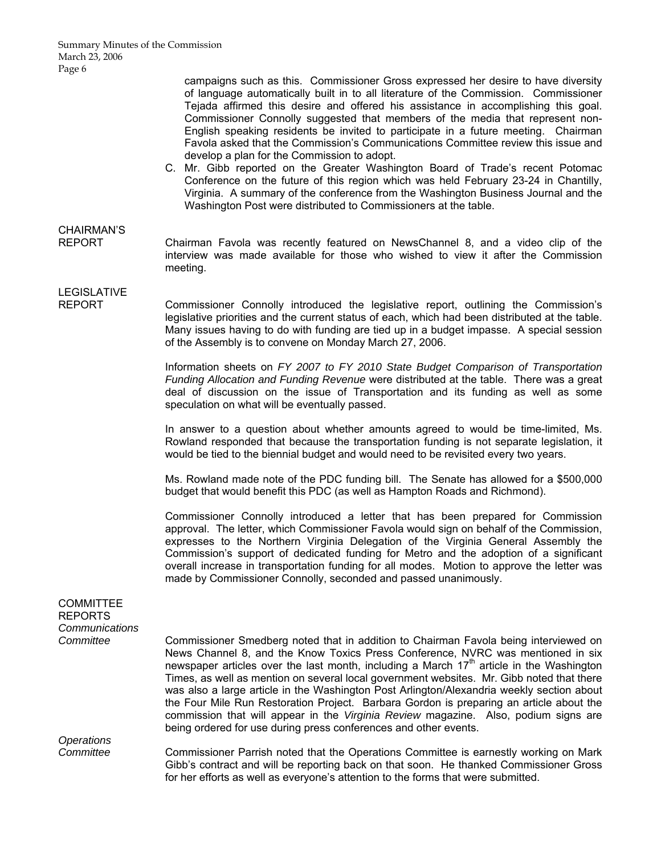campaigns such as this. Commissioner Gross expressed her desire to have diversity of language automatically built in to all literature of the Commission. Commissioner Tejada affirmed this desire and offered his assistance in accomplishing this goal. Commissioner Connolly suggested that members of the media that represent non-English speaking residents be invited to participate in a future meeting. Chairman Favola asked that the Commission's Communications Committee review this issue and develop a plan for the Commission to adopt.

C. Mr. Gibb reported on the Greater Washington Board of Trade's recent Potomac Conference on the future of this region which was held February 23-24 in Chantilly, Virginia. A summary of the conference from the Washington Business Journal and the Washington Post were distributed to Commissioners at the table.

## CHAIRMAN'S

REPORT Chairman Favola was recently featured on NewsChannel 8, and a video clip of the interview was made available for those who wished to view it after the Commission meeting.

# LEGISLATIVE

REPORT Commissioner Connolly introduced the legislative report, outlining the Commission's legislative priorities and the current status of each, which had been distributed at the table. Many issues having to do with funding are tied up in a budget impasse. A special session of the Assembly is to convene on Monday March 27, 2006.

> Information sheets on *FY 2007 to FY 2010 State Budget Comparison of Transportation Funding Allocation and Funding Revenue* were distributed at the table. There was a great deal of discussion on the issue of Transportation and its funding as well as some speculation on what will be eventually passed.

> In answer to a question about whether amounts agreed to would be time-limited, Ms. Rowland responded that because the transportation funding is not separate legislation, it would be tied to the biennial budget and would need to be revisited every two years.

> Ms. Rowland made note of the PDC funding bill. The Senate has allowed for a \$500,000 budget that would benefit this PDC (as well as Hampton Roads and Richmond).

> Commissioner Connolly introduced a letter that has been prepared for Commission approval. The letter, which Commissioner Favola would sign on behalf of the Commission, expresses to the Northern Virginia Delegation of the Virginia General Assembly the Commission's support of dedicated funding for Metro and the adoption of a significant overall increase in transportation funding for all modes. Motion to approve the letter was made by Commissioner Connolly, seconded and passed unanimously.

### **COMMITTEE** REPORTS *Communications*

*Committee* Commissioner Smedberg noted that in addition to Chairman Favola being interviewed on News Channel 8, and the Know Toxics Press Conference, NVRC was mentioned in six newspaper articles over the last month, including a March 17<sup>th</sup> article in the Washington Times, as well as mention on several local government websites. Mr. Gibb noted that there was also a large article in the Washington Post Arlington/Alexandria weekly section about the Four Mile Run Restoration Project. Barbara Gordon is preparing an article about the commission that will appear in the *Virginia Review* magazine. Also, podium signs are being ordered for use during press conferences and other events.

*Operations* 

*Committee* Commissioner Parrish noted that the Operations Committee is earnestly working on Mark Gibb's contract and will be reporting back on that soon. He thanked Commissioner Gross for her efforts as well as everyone's attention to the forms that were submitted.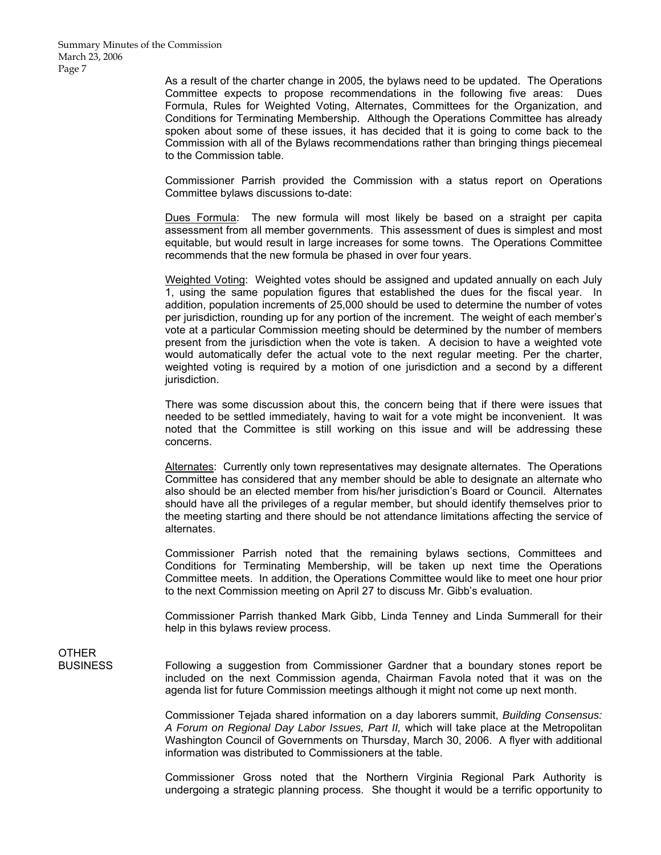As a result of the charter change in 2005, the bylaws need to be updated. The Operations Committee expects to propose recommendations in the following five areas: Dues Formula, Rules for Weighted Voting, Alternates, Committees for the Organization, and Conditions for Terminating Membership. Although the Operations Committee has already spoken about some of these issues, it has decided that it is going to come back to the Commission with all of the Bylaws recommendations rather than bringing things piecemeal to the Commission table.

 Commissioner Parrish provided the Commission with a status report on Operations Committee bylaws discussions to-date:

 Dues Formula: The new formula will most likely be based on a straight per capita assessment from all member governments. This assessment of dues is simplest and most equitable, but would result in large increases for some towns. The Operations Committee recommends that the new formula be phased in over four years.

 Weighted Voting: Weighted votes should be assigned and updated annually on each July 1, using the same population figures that established the dues for the fiscal year. In addition, population increments of 25,000 should be used to determine the number of votes per jurisdiction, rounding up for any portion of the increment. The weight of each member's vote at a particular Commission meeting should be determined by the number of members present from the jurisdiction when the vote is taken. A decision to have a weighted vote would automatically defer the actual vote to the next regular meeting. Per the charter, weighted voting is required by a motion of one jurisdiction and a second by a different jurisdiction.

 There was some discussion about this, the concern being that if there were issues that needed to be settled immediately, having to wait for a vote might be inconvenient. It was noted that the Committee is still working on this issue and will be addressing these concerns.

 Alternates: Currently only town representatives may designate alternates. The Operations Committee has considered that any member should be able to designate an alternate who also should be an elected member from his/her jurisdiction's Board or Council. Alternates should have all the privileges of a regular member, but should identify themselves prior to the meeting starting and there should be not attendance limitations affecting the service of alternates.

 Commissioner Parrish noted that the remaining bylaws sections, Committees and Conditions for Terminating Membership, will be taken up next time the Operations Committee meets. In addition, the Operations Committee would like to meet one hour prior to the next Commission meeting on April 27 to discuss Mr. Gibb's evaluation.

 Commissioner Parrish thanked Mark Gibb, Linda Tenney and Linda Summerall for their help in this bylaws review process.

**OTHER** 

BUSINESS Following a suggestion from Commissioner Gardner that a boundary stones report be included on the next Commission agenda, Chairman Favola noted that it was on the agenda list for future Commission meetings although it might not come up next month.

> Commissioner Tejada shared information on a day laborers summit, *Building Consensus: A Forum on Regional Day Labor Issues, Part II,* which will take place at the Metropolitan Washington Council of Governments on Thursday, March 30, 2006. A flyer with additional information was distributed to Commissioners at the table.

> Commissioner Gross noted that the Northern Virginia Regional Park Authority is undergoing a strategic planning process. She thought it would be a terrific opportunity to